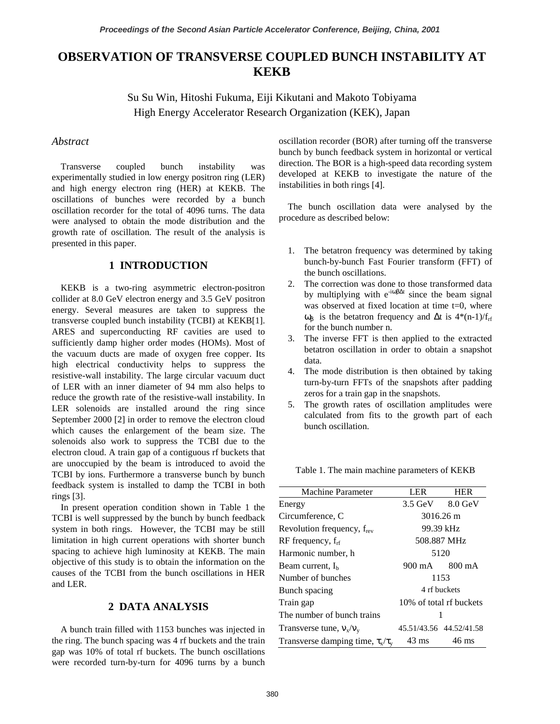# **OBSERVATION OF TRANSVERSE COUPLED BUNCH INSTABILITY AT KEKB**

Su Su Win, Hitoshi Fukuma, Eiji Kikutani and Makoto Tobiyama High Energy Accelerator Research Organization (KEK), Japan

## *Abstract*

Transverse coupled bunch instability was experimentally studied in low energy positron ring (LER) and high energy electron ring (HER) at KEKB. The oscillations of bunches were recorded by a bunch oscillation recorder for the total of 4096 turns. The data were analysed to obtain the mode distribution and the growth rate of oscillation. The result of the analysis is presented in this paper.

## **1 INTRODUCTION**

KEKB is a two-ring asymmetric electron-positron collider at 8.0 GeV electron energy and 3.5 GeV positron energy. Several measures are taken to suppress the transverse coupled bunch instability (TCBI) at KEKB[1]. ARES and superconducting RF cavities are used to sufficiently damp higher order modes (HOMs). Most of the vacuum ducts are made of oxygen free copper. Its high electrical conductivity helps to suppress the resistive-wall instability. The large circular vacuum duct of LER with an inner diameter of 94 mm also helps to reduce the growth rate of the resistive-wall instability. In LER solenoids are installed around the ring since September 2000 [2] in order to remove the electron cloud which causes the enlargement of the beam size. The solenoids also work to suppress the TCBI due to the electron cloud. A train gap of a contiguous rf buckets that are unoccupied by the beam is introduced to avoid the TCBI by ions. Furthermore a transverse bunch by bunch feedback system is installed to damp the TCBI in both rings [3].

In present operation condition shown in Table 1 the TCBI is well suppressed by the bunch by bunch feedback system in both rings. However, the TCBI may be still limitation in high current operations with shorter bunch spacing to achieve high luminosity at KEKB. The main objective of this study is to obtain the information on the causes of the TCBI from the bunch oscillations in HER and LER.

## **2 DATA ANALYSIS**

A bunch train filled with 1153 bunches was injected in the ring. The bunch spacing was 4 rf buckets and the train gap was 10% of total rf buckets. The bunch oscillations were recorded turn-by-turn for 4096 turns by a bunch oscillation recorder (BOR) after turning off the transverse bunch by bunch feedback system in horizontal or vertical direction. The BOR is a high-speed data recording system developed at KEKB to investigate the nature of the instabilities in both rings [4].

The bunch oscillation data were analysed by the procedure as described below:

- 1. The betatron frequency was determined by taking bunch-by-bunch Fast Fourier transform (FFT) of the bunch oscillations.
- 2. The correction was done to those transformed data by multiplying with  $e^{-i\omega\beta\Delta t}$  since the beam signal was observed at fixed location at time t=0, where  $ω_β$  is the betatron frequency and  $Δt$  is  $4*(n-1)/f_{rf}$ for the bunch number n.
- 3. The inverse FFT is then applied to the extracted betatron oscillation in order to obtain a snapshot data.
- 4. The mode distribution is then obtained by taking turn-by-turn FFTs of the snapshots after padding zeros for a train gap in the snapshots.
- 5. The growth rates of oscillation amplitudes were calculated from fits to the growth part of each bunch oscillation.

Table 1. The main machine parameters of KEKB

| <b>Machine Parameter</b>                 | LER.                    | <b>HER</b>                          |
|------------------------------------------|-------------------------|-------------------------------------|
| Energy                                   |                         | $3.5 \text{ GeV}$ $8.0 \text{ GeV}$ |
| Circumference, C                         | 3016.26 m               |                                     |
| Revolution frequency, f <sub>rev</sub>   | 99.39 kHz               |                                     |
| $RF$ frequency, $f_{rf}$                 | 508.887 MHz             |                                     |
| Harmonic number, h                       | 5120                    |                                     |
| Beam current, $I_h$                      |                         | 900 mA 800 mA                       |
| Number of bunches                        | 1153                    |                                     |
| Bunch spacing                            | 4 rf buckets            |                                     |
| Train gap                                | 10% of total rf buckets |                                     |
| The number of bunch trains               |                         |                                     |
| Transverse tune, $v_x/v_y$               |                         | 45.51/43.56 44.52/41.58             |
| Transverse damping time, $\tau_x/\tau_y$ | $43 \text{ ms}$         | 46 ms                               |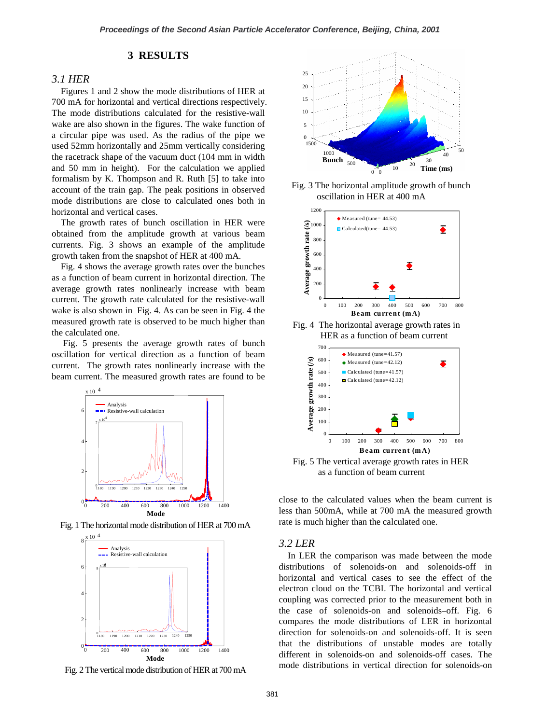## **3 RESULTS**

#### *3.1 HER*

Figures 1 and 2 show the mode distributions of HER at 700 mA for horizontal and vertical directions respectively. The mode distributions calculated for the resistive-wall wake are also shown in the figures. The wake function of a circular pipe was used. As the radius of the pipe we used 52mm horizontally and 25mm vertically considering the racetrack shape of the vacuum duct (104 mm in width and 50 mm in height). For the calculation we applied formalism by K. Thompson and R. Ruth [5] to take into account of the train gap. The peak positions in observed mode distributions are close to calculated ones both in horizontal and vertical cases.

The growth rates of bunch oscillation in HER were obtained from the amplitude growth at various beam currents. Fig. 3 shows an example of the amplitude growth taken from the snapshot of HER at 400 mA.

Fig. 4 shows the average growth rates over the bunches as a function of beam current in horizontal direction. The average growth rates nonlinearly increase with beam current. The growth rate calculated for the resistive-wall wake is also shown in Fig. 4. As can be seen in Fig. 4 the measured growth rate is observed to be much higher than the calculated one.

Fig. 5 presents the average growth rates of bunch oscillation for vertical direction as a function of beam current. The growth rates nonlinearly increase with the beam current. The measured growth rates are found to be



Fig. 1 The horizontal mode distribution of HER at 700 mA





Fig. 3 The horizontal amplitude growth of bunch oscillation in HER at 400 mA



Fig. 4 The horizontal average growth rates in HER as a function of beam current



Fig. 5 The vertical average growth rates in HER as a function of beam current

close to the calculated values when the beam current is less than 500mA, while at 700 mA the measured growth rate is much higher than the calculated one.

## *3.2 LER*

In LER the comparison was made between the mode distributions of solenoids-on and solenoids-off in horizontal and vertical cases to see the effect of the electron cloud on the TCBI. The horizontal and vertical coupling was corrected prior to the measurement both in the case of solenoids-on and solenoids–off. Fig. 6 compares the mode distributions of LER in horizontal direction for solenoids-on and solenoids-off. It is seen that the distributions of unstable modes are totally different in solenoids-on and solenoids-off cases. The Fig. 2 The vertical mode distribution of HER at 700 mA mode distributions in vertical direction for solenoids-on